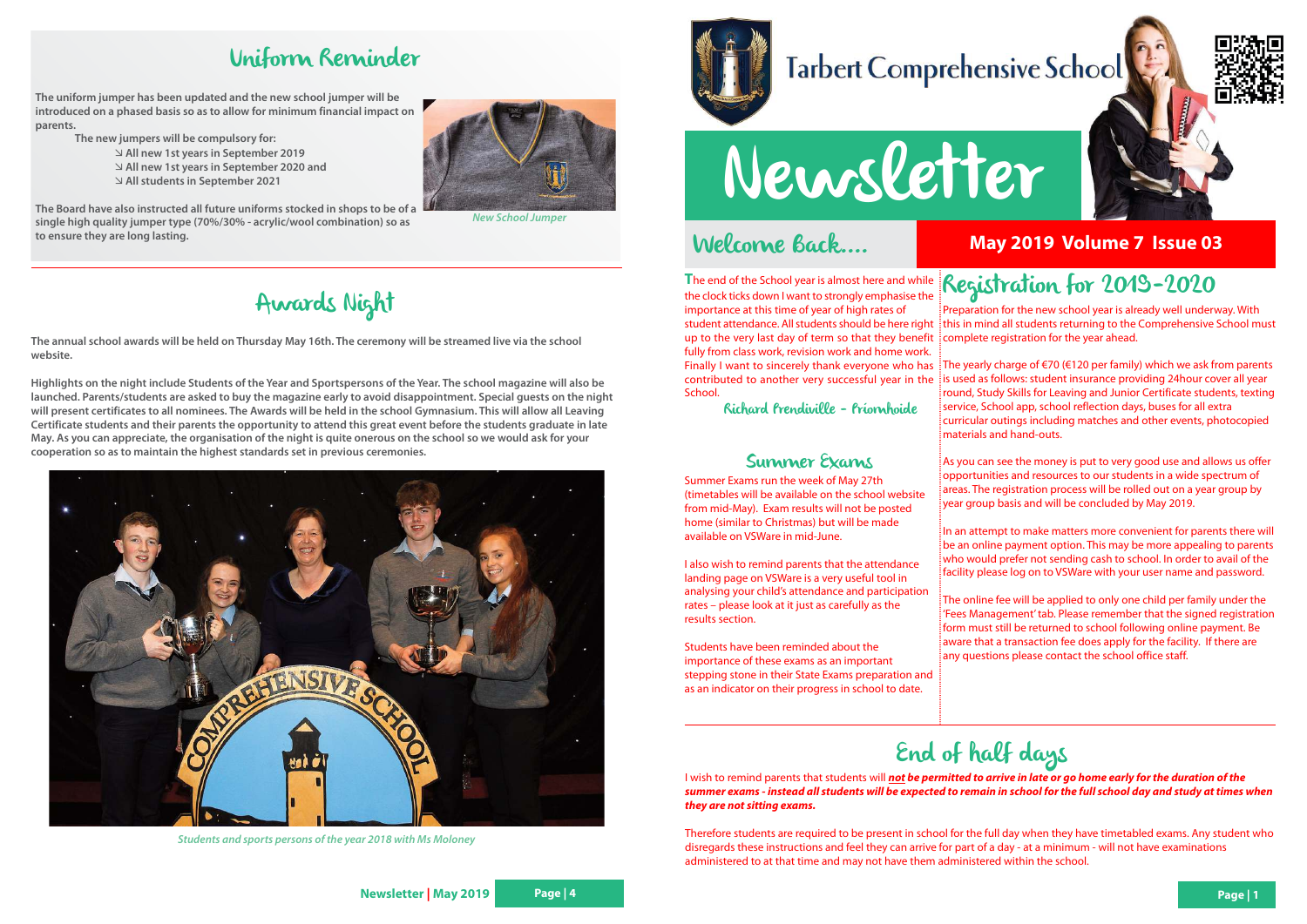### Welcome Back....

# Newsletter

The end of the School year is almost here and while **Registration for 2019-2020**<br>the clock ticks down I want to strongly emphasise the the clock ticks down I want to strongly emphasise the importance at this time of year of high rates of up to the very last day of term so that they benefit complete registration for the year ahead. fully from class work, revision work and home work.

contributed to another very successful year in the School.

Richard Prendiville - Príomhoide

### Summer Exams

Summer Exams run the week of May 27th (timetables will be available on the school website from mid-May). Exam results will not be posted home (similar to Christmas) but will be made available on VSWare in mid-June.

student attendance. All students should be here right $\,$ ithis in mind all students returning to the Comprehensive School must Preparation for the new school year is already well underway. With

I also wish to remind parents that the attendance landing page on VSWare is a very useful tool in analysing your child's attendance and participation rates – please look at it just as carefully as the results section.

Finally I want to sincerely thank everyone who has {The yearly charge of €70 (€120 per family) which we ask from parents is used as follows: student insurance providing 24hour cover all year round, Study Skills for Leaving and Junior Certificate students, texting service, School app, school reflection days, buses for all extra curricular outings including matches and other events, photocopied materials and hand-outs.

Students have been reminded about the importance of these exams as an important stepping stone in their State Exams preparation and as an indicator on their progress in school to date.

In an attempt to make matters more convenient for parents there will be an online payment option. This may be more appealing to parents who would prefer not sending cash to school. In order to avail of the facility please log on to VSWare with your user name and password.

The online fee will be applied to only one child per family under the 'Fees Management' tab. Please remember that the signed registration form must still be returned to school following online payment. Be aware that a transaction fee does apply for the facility. If there are any questions please contact the school office staff.

As you can see the money is put to very good use and allows us offer opportunities and resources to our students in a wide spectrum of areas. The registration process will be rolled out on a year group by year group basis and will be concluded by May 2019.

**May 2019 Volume 7 Issue 03**





# End of half days

I wish to remind parents that students will **not be permitted to arrive in late or go home early for the duration of the summer exams - instead all students will be expected to remain in school for the full school day and study at times when they are not sitting exams.**

Therefore students are required to be present in school for the full day when they have timetabled exams. Any student who disregards these instructions and feel they can arrive for part of a day - at a minimum - will not have examinations administered to at that time and may not have them administered within the school.

# Uniform Reminder

**The uniform jumper has been updated and the new school jumper will be introduced on a phased basis so as to allow for minimum financial impact on parents.**

**The new jumpers will be compulsory for:**

- **All new 1st years in September 2019** - **All new 1st years in September 2020 and** - **All students in September 2021**

**The Board have also instructed all future uniforms stocked in shops to be of a single high quality jumper type (70%/30% - acrylic/wool combination) so as to ensure they are long lasting.**

# Awards Night

**The annual school awards will be held on Thursday May 16th. The ceremony will be streamed live via the school website.**

**Highlights on the night include Students of the Year and Sportspersons of the Year. The school magazine will also be launched. Parents/students are asked to buy the magazine early to avoid disappointment. Special guests on the night will present certificates to all nominees. The Awards will be held in the school Gymnasium. This will allow all Leaving Certificate students and their parents the opportunity to attend this great event before the students graduate in late May. As you can appreciate, the organisation of the night is quite onerous on the school so we would ask for your cooperation so as to maintain the highest standards set in previous ceremonies.**



**Students and sports persons of the year 2018 with Ms Moloney**



# **Tarbert Comprehensive School**



**New School Jumper**